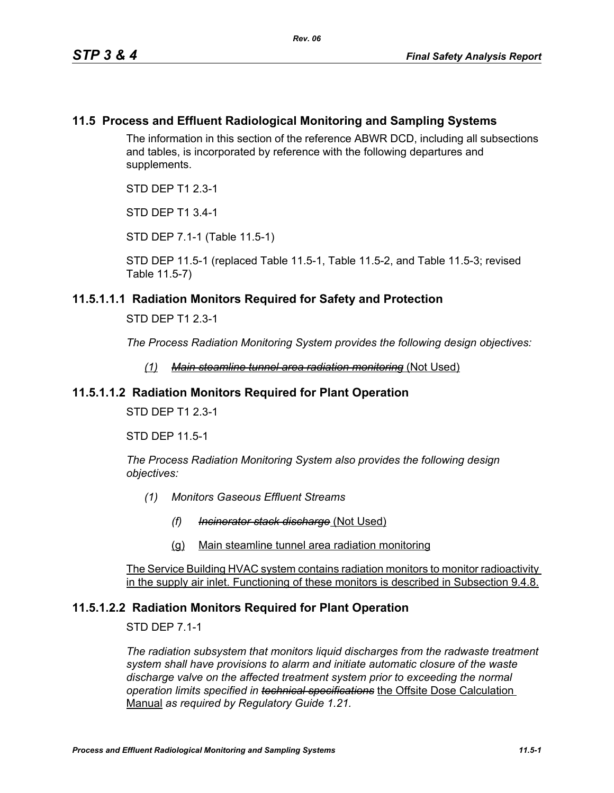# **11.5 Process and Effluent Radiological Monitoring and Sampling Systems**

The information in this section of the reference ABWR DCD, including all subsections and tables, is incorporated by reference with the following departures and supplements.

STD DEP T1 2.3-1

STD DEP T1 3.4-1

STD DEP 7.1-1 (Table 11.5-1)

STD DEP 11.5-1 (replaced Table 11.5-1, Table 11.5-2, and Table 11.5-3; revised Table 11.5-7)

#### **11.5.1.1.1 Radiation Monitors Required for Safety and Protection**

STD DEP T1 2.3-1

*The Process Radiation Monitoring System provides the following design objectives:*

*(1) Main steamline tunnel area radiation monitoring* (Not Used)

#### **11.5.1.1.2 Radiation Monitors Required for Plant Operation**

STD DEP T1 2.3-1

STD DEP 11.5-1

*The Process Radiation Monitoring System also provides the following design objectives:*

- *(1) Monitors Gaseous Effluent Streams*
	- *(f) Incinerator stack discharge* (Not Used)
	- (g) Main steamline tunnel area radiation monitoring

The Service Building HVAC system contains radiation monitors to monitor radioactivity in the supply air inlet. Functioning of these monitors is described in Subsection 9.4.8.

#### **11.5.1.2.2 Radiation Monitors Required for Plant Operation**

STD DEP 7.1-1

*The radiation subsystem that monitors liquid discharges from the radwaste treatment system shall have provisions to alarm and initiate automatic closure of the waste discharge valve on the affected treatment system prior to exceeding the normal operation limits specified in technical specifications* the Offsite Dose Calculation Manual *as required by Regulatory Guide 1.21.*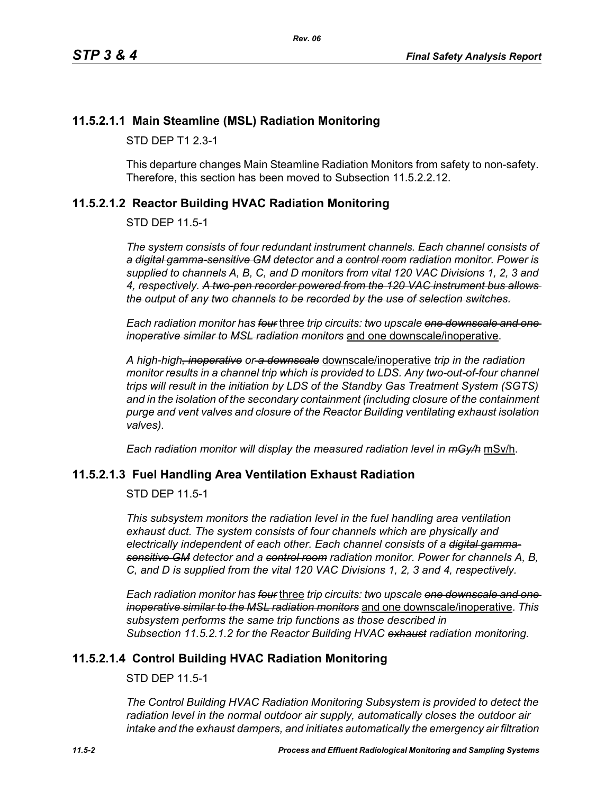# **11.5.2.1.1 Main Steamline (MSL) Radiation Monitoring**

STD DEP T1 2.3-1

This departure changes Main Steamline Radiation Monitors from safety to non-safety. Therefore, this section has been moved to Subsection 11.5.2.2.12.

# <span id="page-1-0"></span>**11.5.2.1.2 Reactor Building HVAC Radiation Monitoring**

STD DEP 11.5-1

*The system consists of four redundant instrument channels. Each channel consists of a digital gamma-sensitive GM detector and a control room radiation monitor. Power is supplied to channels A, B, C, and D monitors from vital 120 VAC Divisions 1, 2, 3 and 4, respectively. A two-pen recorder powered from the 120 VAC instrument bus allows the output of any two channels to be recorded by the use of selection switches.*

*Each radiation monitor has four* three *trip circuits: two upscale one downscale and one inoperative similar to MSL radiation monitors* and one downscale/inoperative.

*A high-high, inoperative or a downscale* downscale/inoperative *trip in the radiation monitor results in a channel trip which is provided to LDS. Any two-out-of-four channel trips will result in the initiation by LDS of the Standby Gas Treatment System (SGTS) and in the isolation of the secondary containment (including closure of the containment purge and vent valves and closure of the Reactor Building ventilating exhaust isolation valves).*

*Each radiation monitor will display the measured radiation level in mGy/h* mSv/h.

#### **11.5.2.1.3 Fuel Handling Area Ventilation Exhaust Radiation**

STD DEP 11.5-1

*This subsystem monitors the radiation level in the fuel handling area ventilation exhaust duct. The system consists of four channels which are physically and electrically independent of each other. Each channel consists of a digital gammasensitive GM detector and a control room radiation monitor. Power for channels A, B, C, and D is supplied from the vital 120 VAC Divisions 1, 2, 3 and 4, respectively.*

*Each radiation monitor has four* three *trip circuits: two upscale one downscale and one inoperative similar to the MSL radiation monitors* and one downscale/inoperative. *This subsystem performs the same trip functions as those described in Subsection [11.5.2.1.2](#page-1-0) for the Reactor Building HVAC exhaust radiation monitoring.*

#### **11.5.2.1.4 Control Building HVAC Radiation Monitoring**

STD DEP 11.5-1

*The Control Building HVAC Radiation Monitoring Subsystem is provided to detect the radiation level in the normal outdoor air supply, automatically closes the outdoor air intake and the exhaust dampers, and initiates automatically the emergency air filtration*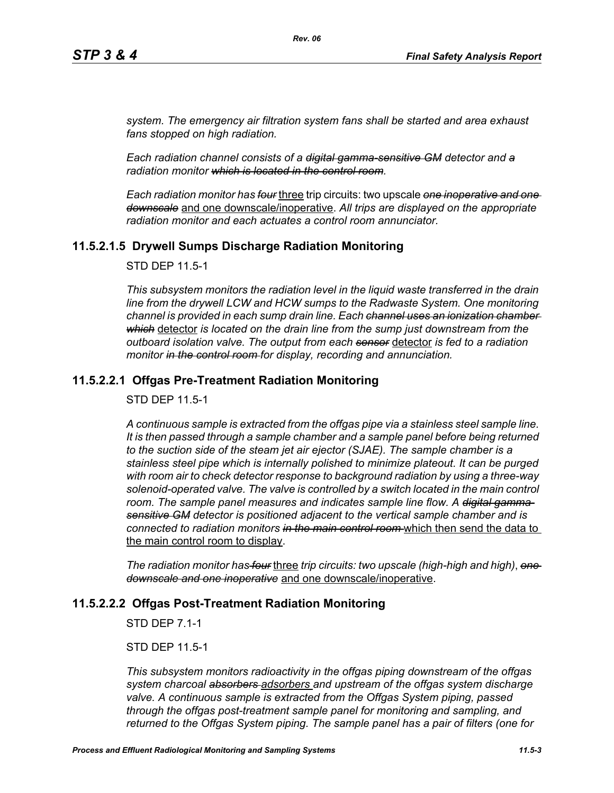*system. The emergency air filtration system fans shall be started and area exhaust fans stopped on high radiation.*

*Each radiation channel consists of a digital gamma-sensitive GM detector and a radiation monitor which is located in the control room.*

*Each radiation monitor has four* three trip circuits: two upscale *one inoperative and one downscale* and one downscale/inoperative. *All trips are displayed on the appropriate radiation monitor and each actuates a control room annunciator.*

# **11.5.2.1.5 Drywell Sumps Discharge Radiation Monitoring**

STD DEP 11.5-1

*This subsystem monitors the radiation level in the liquid waste transferred in the drain line from the drywell LCW and HCW sumps to the Radwaste System. One monitoring channel is provided in each sump drain line. Each channel uses an ionization chamber which* detector *is located on the drain line from the sump just downstream from the outboard isolation valve. The output from each sensor* detector *is fed to a radiation monitor in the control room for display, recording and annunciation.*

# **11.5.2.2.1 Offgas Pre-Treatment Radiation Monitoring**

STD DEP 11.5-1

*A continuous sample is extracted from the offgas pipe via a stainless steel sample line. It is then passed through a sample chamber and a sample panel before being returned to the suction side of the steam jet air ejector (SJAE). The sample chamber is a stainless steel pipe which is internally polished to minimize plateout. It can be purged with room air to check detector response to background radiation by using a three-way*  solenoid-operated valve. The valve is controlled by a switch located in the main control room. The sample panel measures and indicates sample line flow. A <del>digital gamma</del>*sensitive GM detector is positioned adjacent to the vertical sample chamber and is connected to radiation monitors in the main control room* which then send the data to the main control room to display.

*The radiation monitor has four* three *trip circuits: two upscale (high-high and high)*, *one downscale and one inoperative* and one downscale/inoperative.

# **11.5.2.2.2 Offgas Post-Treatment Radiation Monitoring**

STD DEP 7.1-1

STD DEP 11.5-1

*This subsystem monitors radioactivity in the offgas piping downstream of the offgas system charcoal absorbers adsorbers and upstream of the offgas system discharge valve. A continuous sample is extracted from the Offgas System piping, passed through the offgas post-treatment sample panel for monitoring and sampling, and returned to the Offgas System piping. The sample panel has a pair of filters (one for*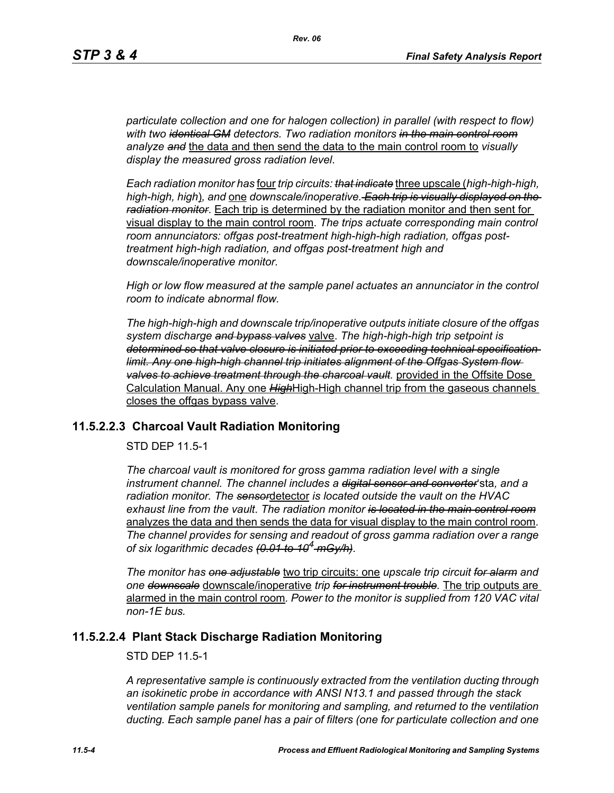*particulate collection and one for halogen collection) in parallel (with respect to flow) with two identical GM detectors. Two radiation monitors in the main control room analyze and* the data and then send the data to the main control room to *visually display the measured gross radiation level*.

*Each radiation monitor has* four *trip circuits: that indicate* three upscale (*high-high-high, high-high, high*)*, and* one *downscale/inoperative. Each trip is visually displayed on the radiation monitor*. Each trip is determined by the radiation monitor and then sent for visual display to the main control room. *The trips actuate corresponding main control room annunciators: offgas post-treatment high-high-high radiation, offgas posttreatment high-high radiation, and offgas post-treatment high and downscale/inoperative monitor.*

*High or low flow measured at the sample panel actuates an annunciator in the control room to indicate abnormal flow.*

*The high-high-high and downscale trip/inoperative outputs initiate closure of the offgas system discharge and bypass valves* valve. *The high-high-high trip setpoint is determined so that valve closure is initiated prior to exceeding technical specification limit. Any one high-high channel trip initiates alignment of the Offgas System flow valves to achieve treatment through the charcoal vault.* provided in the Offsite Dose Calculation Manual. Any one *High*High-High channel trip from the gaseous channels closes the offgas bypass valve.

#### **11.5.2.2.3 Charcoal Vault Radiation Monitoring**

STD DEP 11.5-1

*The charcoal vault is monitored for gross gamma radiation level with a single instrument channel. The channel includes a digital sensor and converter*'sta*, and a radiation monitor. The sensor*detector *is located outside the vault on the HVAC exhaust line from the vault*. *The radiation monitor is located in the main control room* analyzes the data and then sends the data for visual display to the main control room. *The channel provides for sensing and readout of gross gamma radiation over a range of six logarithmic decades (0.01 to 104 mGy/h)*.

*The monitor has one adjustable* two trip circuits: one *upscale trip circuit for alarm and one downscale* downscale/inoperative *trip for instrument trouble.* The trip outputs are alarmed in the main control room*. Power to the monitor is supplied from 120 VAC vital non-1E bus.*

#### **11.5.2.2.4 Plant Stack Discharge Radiation Monitoring**

STD DEP 11.5-1

*A representative sample is continuously extracted from the ventilation ducting through an isokinetic probe in accordance with ANSI N13.1 and passed through the stack ventilation sample panels for monitoring and sampling, and returned to the ventilation ducting. Each sample panel has a pair of filters (one for particulate collection and one*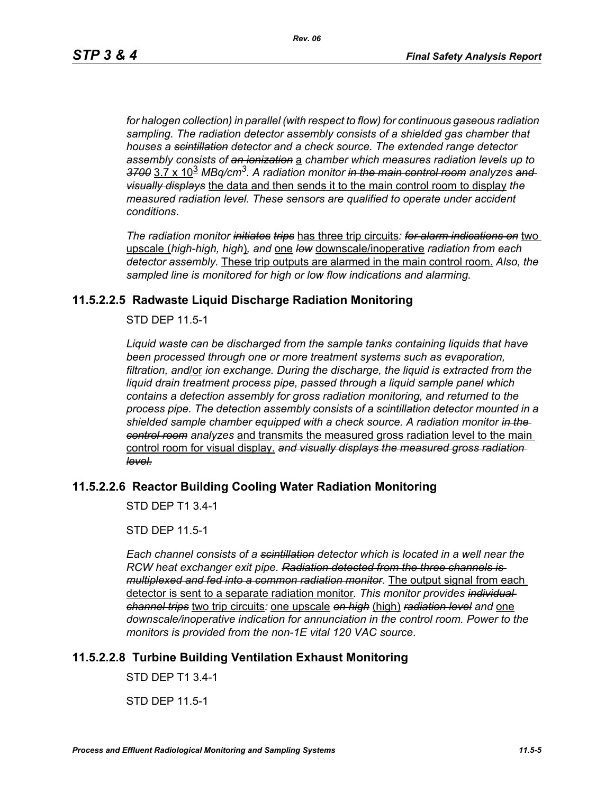*for halogen collection) in parallel (with respect to flow) for continuous gaseous radiation sampling. The radiation detector assembly consists of a shielded gas chamber that houses a scintillation detector and a check source. The extended range detector assembly consists of an ionization* a *chamber which measures radiation levels up to 3700* 3.7 x 10<sup>3</sup> *MBq/cm3. A radiation monitor in the main control room analyzes and visually displays* the data and then sends it to the main control room to display *the measured radiation level. These sensors are qualified to operate under accident conditions*.

*The radiation monitor initiates trips* has three trip circuits*: for alarm indications on* two upscale (*high-high, high*)*, and* one *low* downscale/inoperative *radiation from each detector assembly.* These trip outputs are alarmed in the main control room. *Also, the sampled line is monitored for high or low flow indications and alarming.*

# **11.5.2.2.5 Radwaste Liquid Discharge Radiation Monitoring**

STD DEP 11.5-1

*Liquid waste can be discharged from the sample tanks containing liquids that have been processed through one or more treatment systems such as evaporation, filtration, and*/or *ion exchange. During the discharge, the liquid is extracted from the liquid drain treatment process pipe, passed through a liquid sample panel which contains a detection assembly for gross radiation monitoring, and returned to the process pipe. The detection assembly consists of a scintillation detector mounted in a shielded sample chamber equipped with a check source. A radiation monitor in the control room analyzes* and transmits the measured gross radiation level to the main control room for visual display. *and visually displays the measured gross radiation level.*

# **11.5.2.2.6 Reactor Building Cooling Water Radiation Monitoring**

STD DEP T1 3.4-1

STD DEP 11.5-1

*Each channel consists of a scintillation detector which is located in a well near the RCW heat exchanger exit pipe. Radiation detected from the three channels is multiplexed and fed into a common radiation monitor.* The output signal from each detector is sent to a separate radiation monitor*. This monitor provides individual channel trips* two trip circuits*:* one upscale *on high* (high) *radiation level and* one *downscale/inoperative indication for annunciation in the control room. Power to the monitors is provided from the non-1E vital 120 VAC source*.

# **11.5.2.2.8 Turbine Building Ventilation Exhaust Monitoring**

STD DEP T1 3.4-1

STD DEP 11.5-1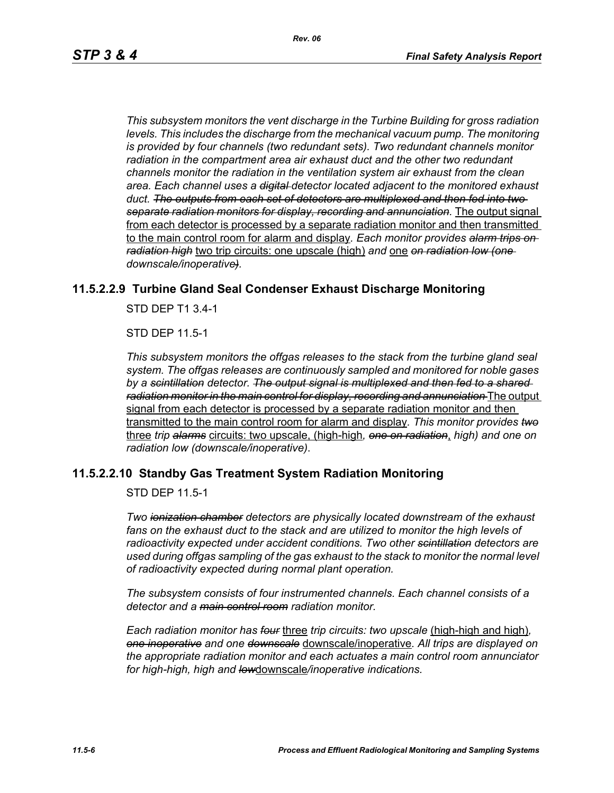*This subsystem monitors the vent discharge in the Turbine Building for gross radiation*  levels. This includes the discharge from the mechanical vacuum pump. The monitoring *is provided by four channels (two redundant sets). Two redundant channels monitor radiation in the compartment area air exhaust duct and the other two redundant channels monitor the radiation in the ventilation system air exhaust from the clean area. Each channel uses a digital detector located adjacent to the monitored exhaust duct. The outputs from each set of detectors are multiplexed and then fed into two separate radiation monitors for display, recording and annunciation.* The output signal from each detector is processed by a separate radiation monitor and then transmitted to the main control room for alarm and display*. Each monitor provides alarm trips on radiation high* two trip circuits: one upscale (high) *and* one *on radiation low (one downscale/inoperative).*

# **11.5.2.2.9 Turbine Gland Seal Condenser Exhaust Discharge Monitoring**

STD DEP T1 3.4-1

STD DEP 11.5-1

*This subsystem monitors the offgas releases to the stack from the turbine gland seal system. The offgas releases are continuously sampled and monitored for noble gases by a scintillation detector. The output signal is multiplexed and then fed to a shared radiation monitor in the main control for display, recording and annunciation* The output signal from each detector is processed by a separate radiation monitor and then transmitted to the main control room for alarm and display*. This monitor provides two* three *trip alarms* circuits: two upscale, (high-high*, one on radiation*, *high) and one on radiation low (downscale/inoperative)*.

#### **11.5.2.2.10 Standby Gas Treatment System Radiation Monitoring**

STD DEP 11.5-1

*Two ionization chamber detectors are physically located downstream of the exhaust fans on the exhaust duct to the stack and are utilized to monitor the high levels of radioactivity expected under accident conditions. Two other scintillation detectors are used during offgas sampling of the gas exhaust to the stack to monitor the normal level of radioactivity expected during normal plant operation.*

*The subsystem consists of four instrumented channels. Each channel consists of a detector and a main control room radiation monitor.*

*Each radiation monitor has four* three *trip circuits: two upscale* (high-high and high)*, one inoperative and one downscale* downscale/inoperative*. All trips are displayed on the appropriate radiation monitor and each actuates a main control room annunciator for high-high, high and low*downscale*/inoperative indications.*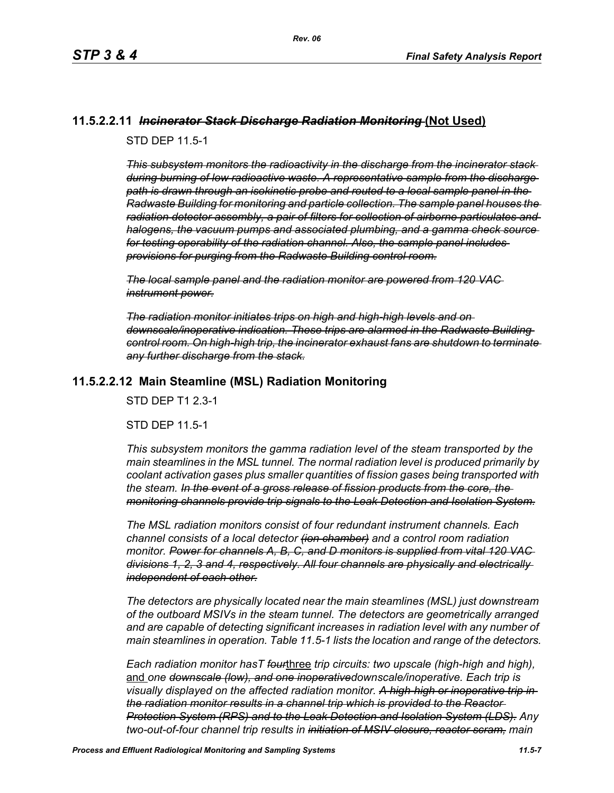# **11.5.2.2.11** *Incinerator Stack Discharge Radiation Monitoring* **(Not Used)**

STD DEP 11.5-1

*This subsystem monitors the radioactivity in the discharge from the incinerator stack during burning of low radioactive waste. A representative sample from the discharge path is drawn through an isokinetic probe and routed to a local sample panel in the Radwaste Building for monitoring and particle collection. The sample panel houses the radiation detector assembly, a pair of filters for collection of airborne particulates and halogens, the vacuum pumps and associated plumbing, and a gamma check source for testing operability of the radiation channel. Also, the sample panel includes provisions for purging from the Radwaste Building control room.*

*The local sample panel and the radiation monitor are powered from 120 VAC instrument power.*

*The radiation monitor initiates trips on high and high-high levels and on downscale/inoperative indication. These trips are alarmed in the Radwaste Building control room. On high-high trip, the incinerator exhaust fans are shutdown to terminate any further discharge from the stack.*

# **11.5.2.2.12 Main Steamline (MSL) Radiation Monitoring**

STD DEP T1 2.3-1

STD DEP 11.5-1

*This subsystem monitors the gamma radiation level of the steam transported by the main steamlines in the MSL tunnel. The normal radiation level is produced primarily by coolant activation gases plus smaller quantities of fission gases being transported with the steam. In the event of a gross release of fission products from the core, the monitoring channels provide trip signals to the Leak Detection and Isolation System.*

*The MSL radiation monitors consist of four redundant instrument channels. Each channel consists of a local detector (ion chamber) and a control room radiation monitor. Power for channels A, B, C, and D monitors is supplied from vital 120 VAC divisions 1, 2, 3 and 4, respectively. All four channels are physically and electrically independent of each other.*

*The detectors are physically located near the main steamlines (MSL) just downstream of the outboard MSIVs in the steam tunnel. The detectors are geometrically arranged and are capable of detecting significant increases in radiation level with any number of main steamlines in operation. Table 11.5-1 lists the location and range of the detectors.*

*Each radiation monitor hasT four*three *trip circuits: two upscale (high-high and high),*  and *one downscale (low), and one inoperativedownscale/inoperative. Each trip is visually displayed on the affected radiation monitor. A high-high or inoperative trip in the radiation monitor results in a channel trip which is provided to the Reactor Protection System (RPS) and to the Leak Detection and Isolation System (LDS). Any two-out-of-four channel trip results in initiation of MSIV closure, reactor scram, main*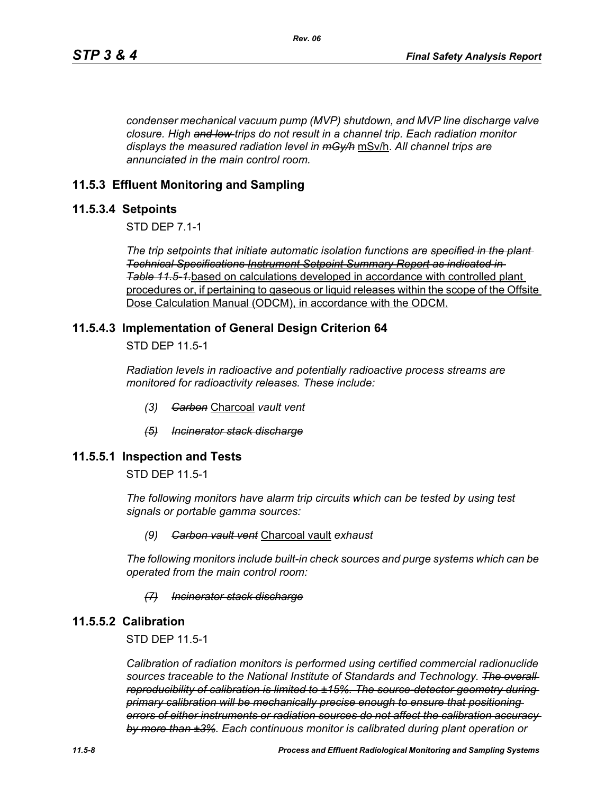*condenser mechanical vacuum pump (MVP) shutdown, and MVP line discharge valve closure. High and low trips do not result in a channel trip. Each radiation monitor displays the measured radiation level in mGy/h* mSv/h. *All channel trips are annunciated in the main control room.*

# **11.5.3 Effluent Monitoring and Sampling**

#### **11.5.3.4 Setpoints**

STD DEP 7.1-1

*The trip setpoints that initiate automatic isolation functions are specified in the plant Technical Specifications Instrument Setpoint Summary Report as indicated in Table [11.5-1.](#page-11-0)*based on calculations developed in accordance with controlled plant procedures or, if pertaining to gaseous or liquid releases within the scope of the Offsite Dose Calculation Manual (ODCM), in accordance with the ODCM.

#### **11.5.4.3 Implementation of General Design Criterion 64**

STD DEP 11.5-1

*Radiation levels in radioactive and potentially radioactive process streams are monitored for radioactivity releases. These include:*

- *(3) Carbon* Charcoal *vault vent*
- *(5) Incinerator stack discharge*

#### **11.5.5.1 Inspection and Tests**

STD DEP 11.5-1

*The following monitors have alarm trip circuits which can be tested by using test signals or portable gamma sources:*

#### *(9) Carbon vault vent* Charcoal vault *exhaust*

*The following monitors include built-in check sources and purge systems which can be operated from the main control room:*

#### *(7) Incinerator stack discharge*

#### **11.5.5.2 Calibration**

STD DEP 11.5-1

*Calibration of radiation monitors is performed using certified commercial radionuclide sources traceable to the National Institute of Standards and Technology. The overall reproducibility of calibration is limited to ±15%. The source-detector geometry during primary calibration will be mechanically precise enough to ensure that positioning errors of either instruments or radiation sources do not affect the calibration accuracy by more than ±3%. Each continuous monitor is calibrated during plant operation or*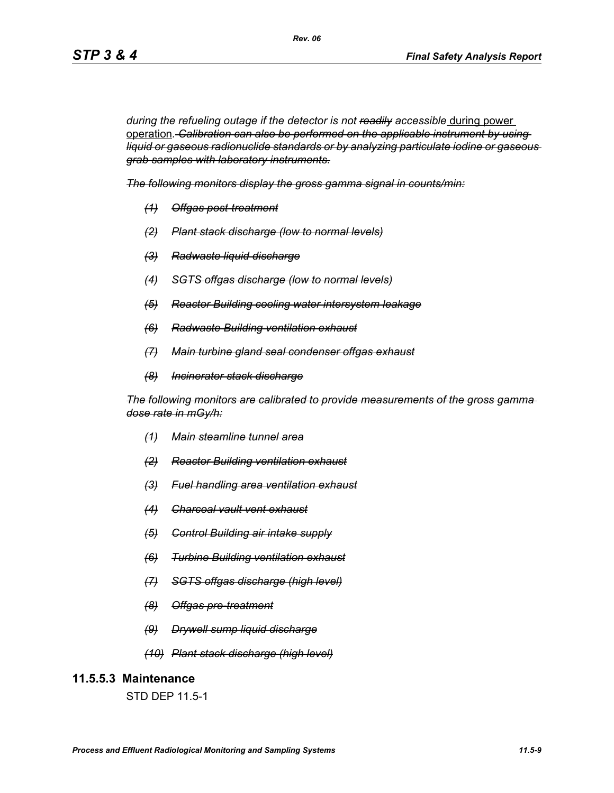during the refueling outage if the detector is not readily accessible during power operation*. Calibration can also be performed on the applicable instrument by using liquid or gaseous radionuclide standards or by analyzing particulate iodine or gaseous grab samples with laboratory instruments.*

*The following monitors display the gross gamma signal in counts/min:*

*Rev. 06*

- *(1) Offgas post-treatment*
- *(2) Plant stack discharge (low to normal levels)*
- *(3) Radwaste liquid discharge*
- *(4) SGTS offgas discharge (low to normal levels)*
- *(5) Reactor Building cooling water intersystem leakage*
- *(6) Radwaste Building ventilation exhaust*
- *(7) Main turbine gland seal condenser offgas exhaust*
- *(8) Incinerator stack discharge*

*The following monitors are calibrated to provide measurements of the gross gamma dose rate in mGy/h:*

- *(1) Main steamline tunnel area*
- *(2) Reactor Building ventilation exhaust*
- *(3) Fuel handling area ventilation exhaust*
- *(4) Charcoal vault vent exhaust*
- *(5) Control Building air intake supply*
- *(6) Turbine Building ventilation exhaust*
- *(7) SGTS offgas discharge (high level)*
- *(8) Offgas pre-treatment*
- *(9) Drywell sump liquid discharge*
- *(10) Plant stack discharge (high level)*

#### **11.5.5.3 Maintenance**

STD DEP 11.5-1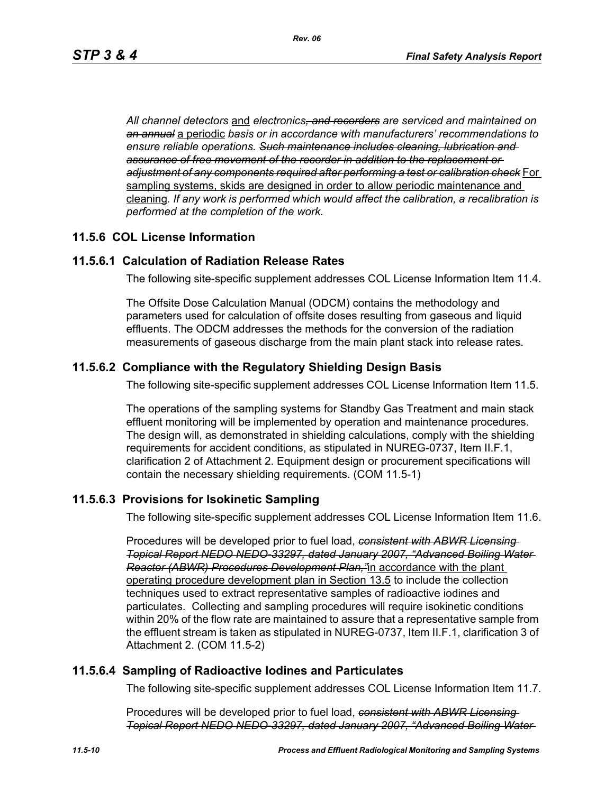*All channel detectors* and *electronics, and recorders are serviced and maintained on an annual* a periodic *basis or in accordance with manufacturers' recommendations to ensure reliable operations. Such maintenance includes cleaning, lubrication and assurance of free movement of the recorder in addition to the replacement or adjustment of any components required after performing a test or calibration check* For sampling systems, skids are designed in order to allow periodic maintenance and cleaning*. If any work is performed which would affect the calibration, a recalibration is performed at the completion of the work.*

# **11.5.6 COL License Information**

# **11.5.6.1 Calculation of Radiation Release Rates**

The following site-specific supplement addresses COL License Information Item 11.4.

The Offsite Dose Calculation Manual (ODCM) contains the methodology and parameters used for calculation of offsite doses resulting from gaseous and liquid effluents. The ODCM addresses the methods for the conversion of the radiation measurements of gaseous discharge from the main plant stack into release rates.

# **11.5.6.2 Compliance with the Regulatory Shielding Design Basis**

The following site-specific supplement addresses COL License Information Item 11.5.

The operations of the sampling systems for Standby Gas Treatment and main stack effluent monitoring will be implemented by operation and maintenance procedures. The design will, as demonstrated in shielding calculations, comply with the shielding requirements for accident conditions, as stipulated in NUREG-0737, Item II.F.1, clarification 2 of Attachment 2. Equipment design or procurement specifications will contain the necessary shielding requirements. (COM 11.5-1)

# **11.5.6.3 Provisions for Isokinetic Sampling**

The following site-specific supplement addresses COL License Information Item 11.6.

Procedures will be developed prior to fuel load, *consistent with ABWR Licensing Topical Report NEDO NEDO-33297, dated January 2007, "Advanced Boiling Water Reactor (ABWR) Procedures Development Plan,"*in accordance with the plant operating procedure development plan in Section 13.5 to include the collection techniques used to extract representative samples of radioactive iodines and particulates. Collecting and sampling procedures will require isokinetic conditions within 20% of the flow rate are maintained to assure that a representative sample from the effluent stream is taken as stipulated in NUREG-0737, Item II.F.1, clarification 3 of Attachment 2. (COM 11.5-2)

# **11.5.6.4 Sampling of Radioactive Iodines and Particulates**

The following site-specific supplement addresses COL License Information Item 11.7.

Procedures will be developed prior to fuel load, *consistent with ABWR Licensing Topical Report NEDO NEDO-33297, dated January 2007, "Advanced Boiling Water*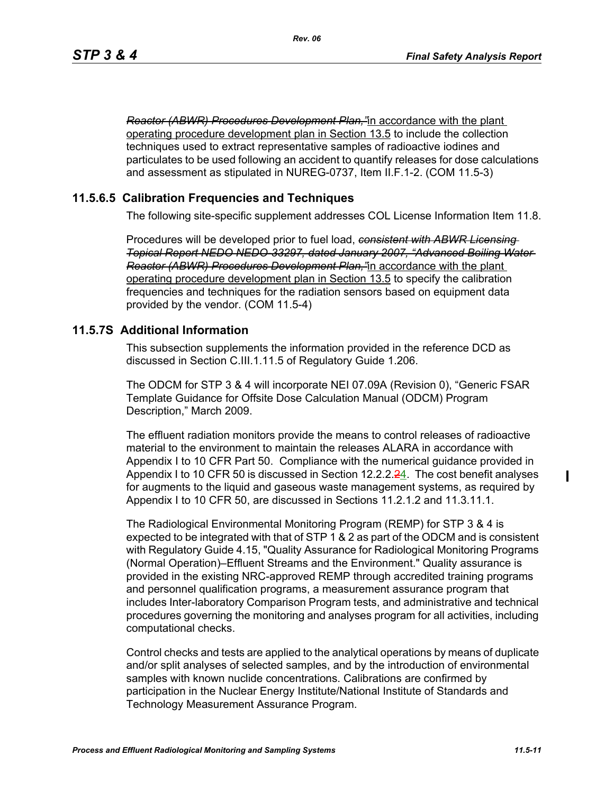*Reactor (ABWR) Procedures Development Plan,"*in accordance with the plant operating procedure development plan in Section 13.5 to include the collection techniques used to extract representative samples of radioactive iodines and particulates to be used following an accident to quantify releases for dose calculations and assessment as stipulated in NUREG-0737, Item II.F.1-2. (COM 11.5-3)

## **11.5.6.5 Calibration Frequencies and Techniques**

The following site-specific supplement addresses COL License Information Item 11.8.

Procedures will be developed prior to fuel load, *consistent with ABWR Licensing Topical Report NEDO NEDO-33297, dated January 2007, "Advanced Boiling Water Reactor (ABWR) Procedures Development Plan,"*in accordance with the plant operating procedure development plan in Section 13.5 to specify the calibration frequencies and techniques for the radiation sensors based on equipment data provided by the vendor. (COM 11.5-4)

#### **11.5.7S Additional Information**

This subsection supplements the information provided in the reference DCD as discussed in Section C.III.1.11.5 of Regulatory Guide 1.206.

The ODCM for STP 3 & 4 will incorporate NEI 07.09A (Revision 0), "Generic FSAR Template Guidance for Offsite Dose Calculation Manual (ODCM) Program Description," March 2009.

The effluent radiation monitors provide the means to control releases of radioactive material to the environment to maintain the releases ALARA in accordance with Appendix I to 10 CFR Part 50. Compliance with the numerical guidance provided in Appendix I to 10 CFR 50 is discussed in Section 12.2.2.24. The cost benefit analyses for augments to the liquid and gaseous waste management systems, as required by Appendix I to 10 CFR 50, are discussed in Sections 11.2.1.2 and 11.3.11.1.

The Radiological Environmental Monitoring Program (REMP) for STP 3 & 4 is expected to be integrated with that of STP 1 & 2 as part of the ODCM and is consistent with Regulatory Guide 4.15, "Quality Assurance for Radiological Monitoring Programs (Normal Operation)–Effluent Streams and the Environment." Quality assurance is provided in the existing NRC-approved REMP through accredited training programs and personnel qualification programs, a measurement assurance program that includes Inter-laboratory Comparison Program tests, and administrative and technical procedures governing the monitoring and analyses program for all activities, including computational checks.

Control checks and tests are applied to the analytical operations by means of duplicate and/or split analyses of selected samples, and by the introduction of environmental samples with known nuclide concentrations. Calibrations are confirmed by participation in the Nuclear Energy Institute/National Institute of Standards and Technology Measurement Assurance Program.

 $\blacksquare$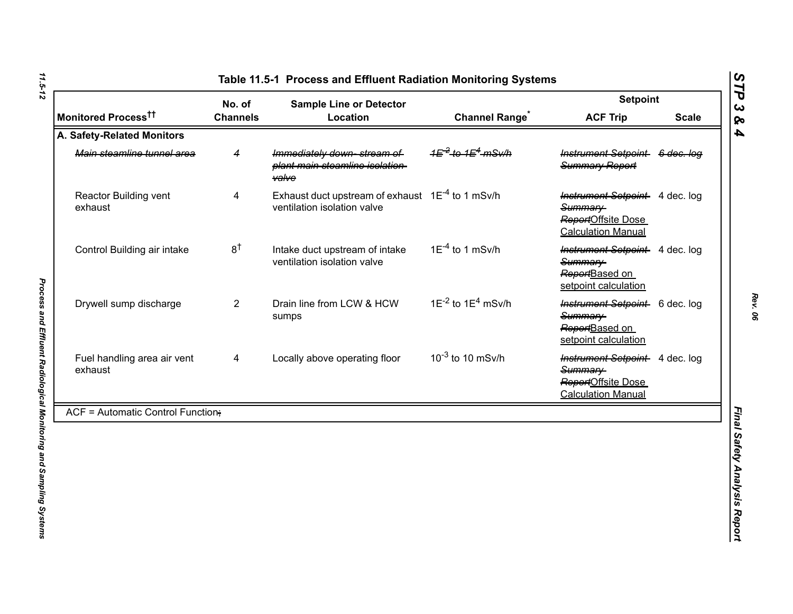<span id="page-11-0"></span>

| Monitored Process <sup>tt</sup>          | No. of<br><b>Sample Line or Detector</b> |                                                                                      |                                                     | <b>Setpoint</b>                                                                                     |              |  |
|------------------------------------------|------------------------------------------|--------------------------------------------------------------------------------------|-----------------------------------------------------|-----------------------------------------------------------------------------------------------------|--------------|--|
|                                          | <b>Channels</b>                          | Location                                                                             | <b>Channel Range<sup>*</sup></b>                    | <b>ACF Trip</b>                                                                                     | <b>Scale</b> |  |
| A. Safety-Related Monitors               |                                          |                                                                                      |                                                     |                                                                                                     |              |  |
| Main steamline tunnel area               | 4                                        | Immediately down-stream of<br>plant main steamline isolation-<br><del>valve</del>    | 4 <del>E<sup>-2</sup> to 1E<sup>4</sup> mSv/h</del> | Instrument Setpoint 6 dec. log<br>Summary Report                                                    |              |  |
| Reactor Building vent<br>exhaust         | 4                                        | Exhaust duct upstream of exhaust $1E^{-4}$ to 1 mSv/h<br>ventilation isolation valve |                                                     | <b>Instrument Setpoint</b> 4 dec. log<br>Summary<br>ReportOffsite Dose<br><b>Calculation Manual</b> |              |  |
| Control Building air intake              | 8 <sup>†</sup>                           | Intake duct upstream of intake<br>ventilation isolation valve                        | $1E^{-4}$ to 1 mSv/h                                | Instrument Setpoint 4 dec. log<br>Summary<br>ReportBased on<br>setpoint calculation                 |              |  |
| Drywell sump discharge                   | $\overline{2}$                           | Drain line from LCW & HCW<br>sumps                                                   | $1E^{-2}$ to $1E^{4}$ mSv/h                         | <b>Instrument Setpoint</b> 6 dec. log<br>Summary<br>ReportBased on<br>setpoint calculation          |              |  |
| Fuel handling area air vent<br>exhaust   | 4                                        | Locally above operating floor                                                        | $10^{-3}$ to 10 mSv/h                               | <b>Instrument Setpoint-</b><br>Summary<br>ReportOffsite Dose<br><b>Calculation Manual</b>           | 4 dec. log   |  |
| <b>ACF = Automatic Control Function;</b> |                                          |                                                                                      |                                                     |                                                                                                     |              |  |

11.5-12

*STP 3 & 4*

*Rev. 06*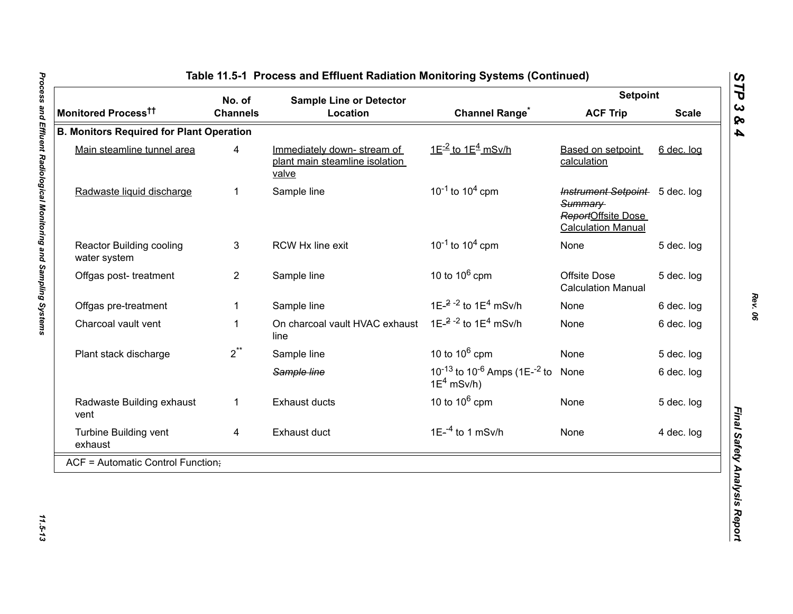|                                                 | No. of          | <b>Sample Line or Detector</b>                                        |                                                                                   | <b>Setpoint</b>                                                                              |              |
|-------------------------------------------------|-----------------|-----------------------------------------------------------------------|-----------------------------------------------------------------------------------|----------------------------------------------------------------------------------------------|--------------|
| Monitored Process <sup>††</sup>                 | <b>Channels</b> | Location                                                              | <b>Channel Range<sup>*</sup></b>                                                  | <b>ACF Trip</b>                                                                              | <b>Scale</b> |
| <b>B. Monitors Required for Plant Operation</b> |                 |                                                                       |                                                                                   |                                                                                              |              |
| Main steamline tunnel area                      | 4               | Immediately down-stream of<br>plant main steamline isolation<br>valve | $1E^{-2}$ to $1E^{4}$ mSv/h                                                       | Based on setpoint<br>calculation                                                             | 6 dec. log   |
| Radwaste liquid discharge                       | 1               | Sample line                                                           | $10^{-1}$ to $10^{4}$ cpm                                                         | Instrument Setpoint 5 dec. log<br>Summary<br>ReportOffsite Dose<br><b>Calculation Manual</b> |              |
| <b>Reactor Building cooling</b><br>water system | 3               | RCW Hx line exit                                                      | $10^{-1}$ to $10^{4}$ cpm                                                         | None                                                                                         | 5 dec. log   |
| Offgas post-treatment                           | $\overline{2}$  | Sample line                                                           | 10 to $10^6$ cpm                                                                  | Offsite Dose<br><b>Calculation Manual</b>                                                    | 5 dec. log   |
| Offgas pre-treatment                            | 1               | Sample line                                                           | 1E $^{-2}$ - <sup>2</sup> to 1E <sup>4</sup> mSv/h                                | None                                                                                         | 6 dec. log   |
| Charcoal vault vent                             | 1               | On charcoal vault HVAC exhaust<br>line                                | 1E- $^{2}$ - $^{2}$ to 1E <sup>4</sup> mSv/h                                      | None                                                                                         | 6 dec. log   |
| Plant stack discharge                           | $2^{**}$        | Sample line                                                           | 10 to $10^6$ cpm                                                                  | None                                                                                         | 5 dec. log   |
|                                                 |                 | Sample line                                                           | 10 <sup>-13</sup> to 10 <sup>-6</sup> Amps (1E- <sup>-2</sup> to<br>$1E^4$ mSv/h) | None                                                                                         | 6 dec. log   |
| Radwaste Building exhaust<br>vent               | 1               | Exhaust ducts                                                         | 10 to $10^6$ cpm                                                                  | None                                                                                         | 5 dec. log   |
| Turbine Building vent<br>exhaust                | 4               | Exhaust duct                                                          | $1E^{-4}$ to 1 mSv/h                                                              | None                                                                                         | 4 dec. log   |
| ACF = Automatic Control Function;               |                 |                                                                       |                                                                                   |                                                                                              |              |

11.5-13

*Rev. 06*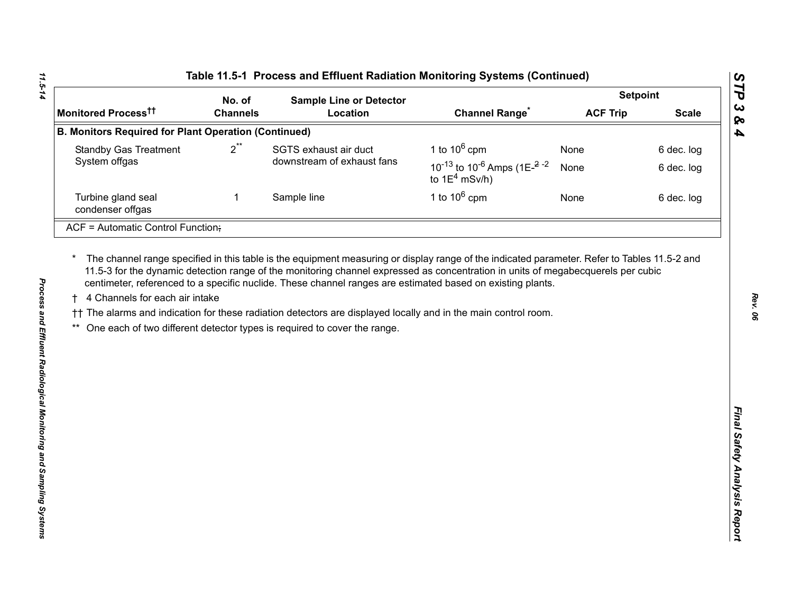| No. of<br><b>Sample Line or Detector</b>                    |                 |                                                                                                                                                                                            |                                                                                                             | <b>Setpoint</b> |              |
|-------------------------------------------------------------|-----------------|--------------------------------------------------------------------------------------------------------------------------------------------------------------------------------------------|-------------------------------------------------------------------------------------------------------------|-----------------|--------------|
| Monitored Process <sup>tt</sup>                             | <b>Channels</b> | Location                                                                                                                                                                                   | <b>Channel Range<sup>*</sup></b>                                                                            | <b>ACF Trip</b> | <b>Scale</b> |
| <b>B. Monitors Required for Plant Operation (Continued)</b> |                 |                                                                                                                                                                                            |                                                                                                             |                 |              |
| <b>Standby Gas Treatment</b>                                | $2^{**}$        | SGTS exhaust air duct                                                                                                                                                                      | 1 to $10^6$ cpm                                                                                             | None            | 6 dec. log   |
| System offgas                                               |                 | downstream of exhaust fans                                                                                                                                                                 | 10 <sup>-13</sup> to 10 <sup>-6</sup> Amps (1E <sup><math>-2</math></sup> <sup>-2</sup><br>to $1E^4$ mSv/h) | None            | 6 dec. log   |
| Turbine gland seal<br>condenser offgas                      | 1               | Sample line                                                                                                                                                                                | 1 to $10^6$ cpm                                                                                             | None            | 6 dec. log   |
| ACF = Automatic Control Function;                           |                 |                                                                                                                                                                                            |                                                                                                             |                 |              |
| 4 Channels for each air intake                              |                 | †† The alarms and indication for these radiation detectors are displayed locally and in the main control room.<br>One each of two different detector types is required to cover the range. |                                                                                                             |                 |              |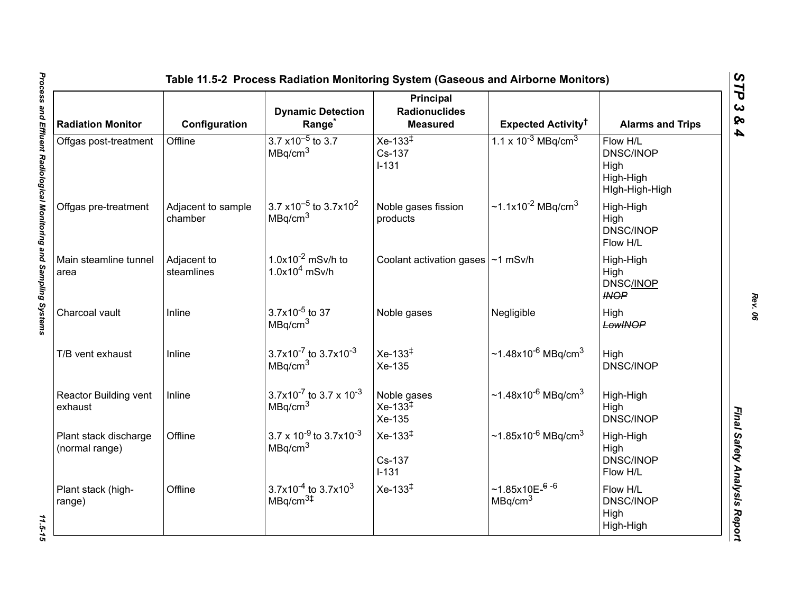| <b>Radiation Monitor</b>                | Configuration                 | <b>Dynamic Detection</b><br>Range <sup>*</sup>                        | <b>Principal</b><br><b>Radionuclides</b><br><b>Measured</b> | Expected Activity <sup>†</sup>                     | <b>Alarms and Trips</b>                                             |
|-----------------------------------------|-------------------------------|-----------------------------------------------------------------------|-------------------------------------------------------------|----------------------------------------------------|---------------------------------------------------------------------|
| Offgas post-treatment                   | Offline                       | $3.7 \times 10^{-5}$ to 3.7<br>MBq/cm <sup>3</sup>                    | $Xe-133^{\ddagger}$<br>Cs-137<br>$I - 131$                  | 1.1 x $10^{-3}$ MBq/cm <sup>3</sup>                | Flow H/L<br><b>DNSC/INOP</b><br>High<br>High-High<br>High-High-High |
| Offgas pre-treatment                    | Adjacent to sample<br>chamber | 3.7 x10 <sup>-5</sup> to 3.7x10 <sup>2</sup><br>MBq/cm <sup>3</sup>   | Noble gases fission<br>products                             | $\sim$ 1.1x10 <sup>-2</sup> MBq/cm <sup>3</sup>    | High-High<br>High<br><b>DNSC/INOP</b><br>Flow H/L                   |
| Main steamline tunnel<br>area           | Adjacent to<br>steamlines     | $1.0x10^{-2}$ mSv/h to<br>$1.0x104$ mSv/h                             | Coolant activation gases   ~1 mSv/h                         |                                                    | High-High<br>High<br>DNSC/INOP<br><b>INOP</b>                       |
| Charcoal vault                          | Inline                        | $3.7x10^{-5}$ to 37<br>MBq/cm <sup>3</sup>                            | Noble gases                                                 | Negligible                                         | High<br><b>LowINOP</b>                                              |
| T/B vent exhaust                        | Inline                        | $3.7x10^{-7}$ to $3.7x10^{-3}$<br>MBq/cm <sup>3</sup>                 | $Xe-133^{\ddagger}$<br>Xe-135                               | $~1.48x10^{-6}$ MBq/cm <sup>3</sup>                | High<br><b>DNSC/INOP</b>                                            |
| <b>Reactor Building vent</b><br>exhaust | Inline                        | 3.7x10 <sup>-7</sup> to 3.7 x 10 <sup>-3</sup><br>MBq/cm <sup>3</sup> | Noble gases<br>$Xe-133^{\ddagger}$<br>Xe-135                | $~1.48x10^{-6}$ MBq/cm <sup>3</sup>                | High-High<br>High<br><b>DNSC/INOP</b>                               |
| Plant stack discharge<br>(normal range) | Offline                       | $3.7 \times 10^{-9}$ to 3.7x10 <sup>-3</sup><br>MBq/cm <sup>3</sup>   | $Xe-133^{\ddagger}$<br>Cs-137<br>$I-131$                    | $~1.85x10^{-6}$ MBq/cm <sup>3</sup>                | High-High<br>High<br><b>DNSC/INOP</b><br>Flow H/L                   |
| Plant stack (high-<br>range)            | Offline                       | $3.7x10^{-4}$ to 3.7x10 <sup>3</sup><br>MBq/cm <sup>3#</sup>          | $Xe-133^{1}$                                                | $~1.85x10E-$ <sup>6-6</sup><br>MBq/cm <sup>3</sup> | Flow H/L<br><b>DNSC/INOP</b><br>High<br>High-High                   |

Process and Effluent Radiological Monitoring and Sampling Systems *Process and Effluent Radiological Monitoring and Sampling Systems 11.5-15*

11.5-15

*Rev. 06*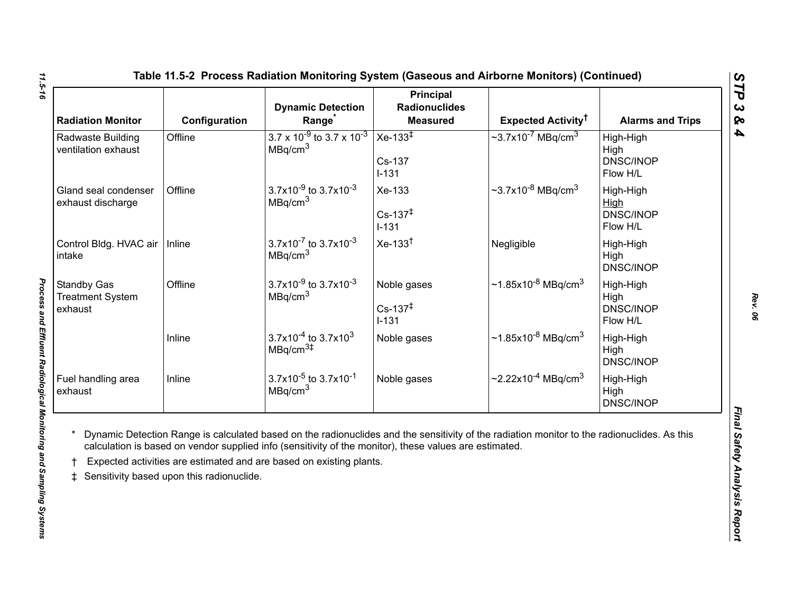<span id="page-15-0"></span>

| <b>Radiation Monitor</b>                          | Configuration | <b>Dynamic Detection</b><br>Range                                     | Principal<br><b>Radionuclides</b><br><b>Measured</b> | Expected Activity <sup>†</sup>                   | <b>Alarms and Trips</b>                           |
|---------------------------------------------------|---------------|-----------------------------------------------------------------------|------------------------------------------------------|--------------------------------------------------|---------------------------------------------------|
| Radwaste Building<br>ventilation exhaust          | Offline       | $3.7 \times 10^{-9}$ to 3.7 x 10 <sup>-3</sup><br>MBq/cm <sup>3</sup> | $Xe-133^{\frac{1}{4}}$<br>Cs-137<br>$I-131$          | $\approx 3.7 \times 10^{-7}$ MBq/cm <sup>3</sup> | High-High<br>High<br>DNSC/INOP<br>Flow H/L        |
| Gland seal condenser<br>exhaust discharge         | Offline       | $3.7x10^{-9}$ to $3.7x10^{-3}$<br>MBq/cm <sup>3</sup>                 | Xe-133<br>$Cs - 137^{\ddagger}$<br>$I-131$           | $\sim$ 3.7x10 <sup>-8</sup> MBq/cm <sup>3</sup>  | High-High<br>High<br><b>DNSC/INOP</b><br>Flow H/L |
| Control Bldg. HVAC air   Inline<br>intake         |               | $3.7x10^{-7}$ to $3.7x10^{-3}$<br>MBq/cm <sup>3</sup>                 | $Xe-133†$                                            | Negligible                                       | High-High<br>High<br><b>DNSC/INOP</b>             |
| Standby Gas<br><b>Treatment System</b><br>exhaust | Offline       | $3.7x10^{-9}$ to $3.7x10^{-3}$<br>MBq/cm <sup>3</sup>                 | Noble gases<br>$Cs - 137^{\ddagger}$<br>$I - 131$    | $\sim$ 1.85x10 <sup>-8</sup> MBq/cm <sup>3</sup> | High-High<br>High<br><b>DNSC/INOP</b><br>Flow H/L |
|                                                   | Inline        | $3.7x10^{-4}$ to $3.7x10^{3}$<br>MBq/cm <sup>3</sup>                  | Noble gases                                          | ~1.85x10 <sup>-8</sup> MBq/cm <sup>3</sup>       | High-High<br>High<br><b>DNSC/INOP</b>             |
| Fuel handling area<br>exhaust                     | Inline        | $3.7x10^{-5}$ to $3.7x10^{-1}$<br>MBq/cm <sup>3</sup>                 | Noble gases                                          | $\sim$ 2.22x10 <sup>-4</sup> MBq/cm <sup>3</sup> | High-High<br>High<br>DNSC/INOP                    |